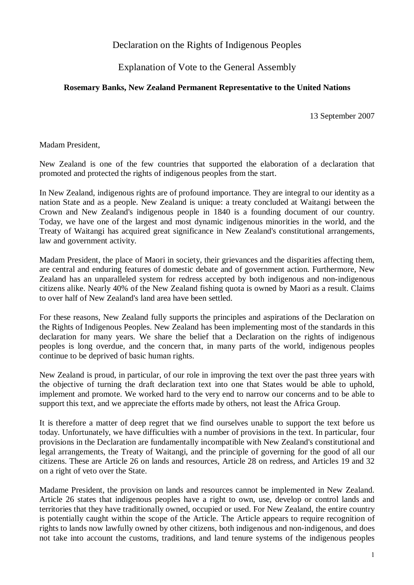Declaration on the Rights of Indigenous Peoples

Explanation of Vote to the General Assembly

## **Rosemary Banks, New Zealand Permanent Representative to the United Nations**

13 September 2007

Madam President,

New Zealand is one of the few countries that supported the elaboration of a declaration that promoted and protected the rights of indigenous peoples from the start.

In New Zealand, indigenous rights are of profound importance. They are integral to our identity as a nation State and as a people. New Zealand is unique: a treaty concluded at Waitangi between the Crown and New Zealand's indigenous people in 1840 is a founding document of our country. Today, we have one of the largest and most dynamic indigenous minorities in the world, and the Treaty of Waitangi has acquired great significance in New Zealand's constitutional arrangements, law and government activity.

Madam President, the place of Maori in society, their grievances and the disparities affecting them, are central and enduring features of domestic debate and of government action. Furthermore, New Zealand has an unparalleled system for redress accepted by both indigenous and non-indigenous citizens alike. Nearly 40% of the New Zealand fishing quota is owned by Maori as a result. Claims to over half of New Zealand's land area have been settled.

For these reasons, New Zealand fully supports the principles and aspirations of the Declaration on the Rights of Indigenous Peoples. New Zealand has been implementing most of the standards in this declaration for many years. We share the belief that a Declaration on the rights of indigenous peoples is long overdue, and the concern that, in many parts of the world, indigenous peoples continue to be deprived of basic human rights.

New Zealand is proud, in particular, of our role in improving the text over the past three years with the objective of turning the draft declaration text into one that States would be able to uphold, implement and promote. We worked hard to the very end to narrow our concerns and to be able to support this text, and we appreciate the efforts made by others, not least the Africa Group.

It is therefore a matter of deep regret that we find ourselves unable to support the text before us today. Unfortunately, we have difficulties with a number of provisions in the text. In particular, four provisions in the Declaration are fundamentally incompatible with New Zealand's constitutional and legal arrangements, the Treaty of Waitangi, and the principle of governing for the good of all our citizens. These are Article 26 on lands and resources, Article 28 on redress, and Articles 19 and 32 on a right of veto over the State.

Madame President, the provision on lands and resources cannot be implemented in New Zealand. Article 26 states that indigenous peoples have a right to own, use, develop or control lands and territories that they have traditionally owned, occupied or used. For New Zealand, the entire country is potentially caught within the scope of the Article. The Article appears to require recognition of rights to lands now lawfully owned by other citizens, both indigenous and non-indigenous, and does not take into account the customs, traditions, and land tenure systems of the indigenous peoples